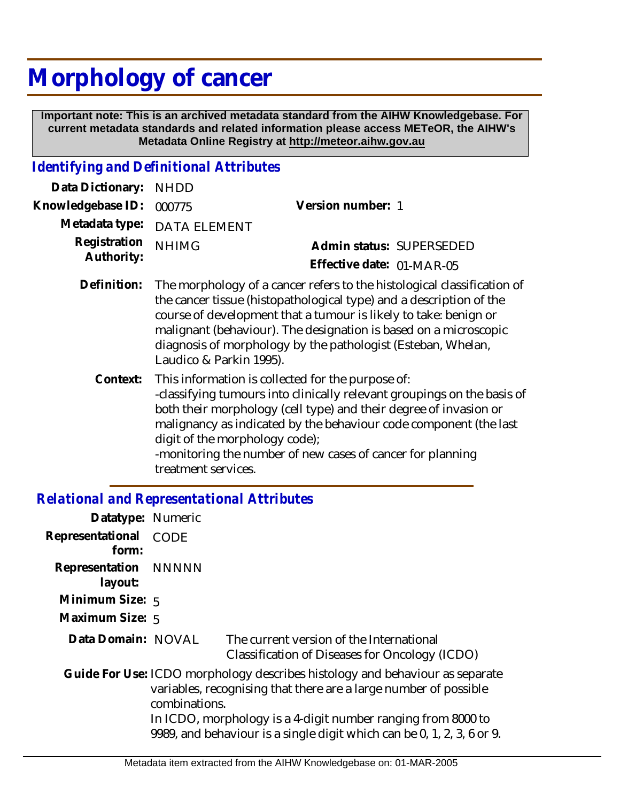# **Morphology of cancer**

 **Important note: This is an archived metadata standard from the AIHW Knowledgebase. For current metadata standards and related information please access METeOR, the AIHW's Metadata Online Registry at http://meteor.aihw.gov.au**

## *Identifying and Definitional Attributes*

| Data Dictionary:           | <b>NHDD</b>                    |                                                                                                                                                                                                                                                                                                                                                        |
|----------------------------|--------------------------------|--------------------------------------------------------------------------------------------------------------------------------------------------------------------------------------------------------------------------------------------------------------------------------------------------------------------------------------------------------|
| Knowledgebase ID:          | 000775                         | Version number: 1                                                                                                                                                                                                                                                                                                                                      |
| Metadata type:             | <b>DATA ELEMENT</b>            |                                                                                                                                                                                                                                                                                                                                                        |
| Registration<br>Authority: | <b>NHIMG</b>                   | Admin status: SUPERSEDED                                                                                                                                                                                                                                                                                                                               |
|                            |                                | Effective date: 01-MAR-05                                                                                                                                                                                                                                                                                                                              |
| Definition:                | Laudico & Parkin 1995).        | The morphology of a cancer refers to the histological classification of<br>the cancer tissue (histopathological type) and a description of the<br>course of development that a tumour is likely to take: benign or<br>malignant (behaviour). The designation is based on a microscopic<br>diagnosis of morphology by the pathologist (Esteban, Whelan, |
| Context:                   | digit of the morphology code); | This information is collected for the purpose of:<br>-classifying tumours into clinically relevant groupings on the basis of<br>both their morphology (cell type) and their degree of invasion or<br>malignancy as indicated by the behaviour code component (the last<br>-monitoring the number of new cases of cancer for planning                   |

treatment services.

## *Relational and Representational Attributes*

| Datatype: Numeric               |               |                                                                                                                                                                                                                  |
|---------------------------------|---------------|------------------------------------------------------------------------------------------------------------------------------------------------------------------------------------------------------------------|
| Representational<br>form:       | CODE          |                                                                                                                                                                                                                  |
| Representation NNNNN<br>layout: |               |                                                                                                                                                                                                                  |
| Minimum Size: 5                 |               |                                                                                                                                                                                                                  |
| Maximum Size: 5                 |               |                                                                                                                                                                                                                  |
| Data Domain: NOVAL              |               | The current version of the International<br>Classification of Diseases for Oncology (ICDO)                                                                                                                       |
|                                 | combinations. | Guide For Use: ICDO morphology describes histology and behaviour as separate<br>variables, recognising that there are a large number of possible<br>In ICDO, morphology is a 4-digit number ranging from 8000 to |
|                                 |               | 9989, and behaviour is a single digit which can be 0, 1, 2, 3, 6 or 9.                                                                                                                                           |